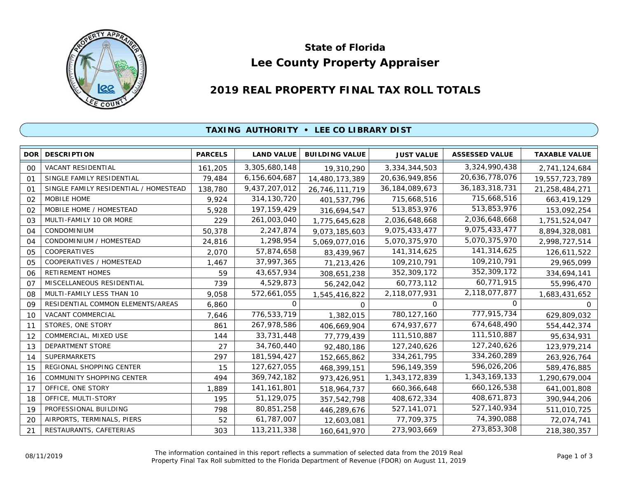

# **Lee County Property Appraiser State of Florida**

# **2019 REAL PROPERTY FINAL TAX ROLL TOTALS**

#### **TAXING AUTHORITY • LEE CO LIBRARY DIST**

| <b>DOR</b>     | <b>DESCRIPTION</b>                    | <b>PARCELS</b> | <b>LAND VALUE</b> | <b>BUILDING VALUE</b> | <b>JUST VALUE</b> | <b>ASSESSED VALUE</b> | <b>TAXABLE VALUE</b> |
|----------------|---------------------------------------|----------------|-------------------|-----------------------|-------------------|-----------------------|----------------------|
| 00             | VACANT RESIDENTIAL                    | 161,205        | 3,305,680,148     | 19,310,290            | 3,334,344,503     | 3,324,990,438         | 2,741,124,684        |
| O <sub>1</sub> | SINGLE FAMILY RESIDENTIAL             | 79,484         | 6,156,604,687     | 14,480,173,389        | 20,636,949,856    | 20,636,778,076        | 19,557,723,789       |
| O <sub>1</sub> | SINGLE FAMILY RESIDENTIAL / HOMESTEAD | 138,780        | 9,437,207,012     | 26,746,111,719        | 36, 184, 089, 673 | 36, 183, 318, 731     | 21,258,484,271       |
| 02             | <b>MOBILE HOME</b>                    | 9,924          | 314, 130, 720     | 401,537,796           | 715,668,516       | 715,668,516           | 663,419,129          |
| 02             | MOBILE HOME / HOMESTEAD               | 5,928          | 197, 159, 429     | 316,694,547           | 513,853,976       | 513,853,976           | 153,092,254          |
| 03             | MULTI-FAMILY 10 OR MORE               | 229            | 261,003,040       | 1,775,645,628         | 2,036,648,668     | 2,036,648,668         | 1,751,524,047        |
| 04             | CONDOMINIUM                           | 50,378         | 2,247,874         | 9,073,185,603         | 9,075,433,477     | 9,075,433,477         | 8,894,328,081        |
| 04             | CONDOMINIUM / HOMESTEAD               | 24,816         | 1,298,954         | 5,069,077,016         | 5,070,375,970     | 5,070,375,970         | 2,998,727,514        |
| 05             | COOPERATIVES                          | 2,070          | 57,874,658        | 83,439,967            | 141,314,625       | 141,314,625           | 126,611,522          |
| 05             | COOPERATIVES / HOMESTEAD              | 1,467          | 37,997,365        | 71,213,426            | 109,210,791       | 109,210,791           | 29,965,099           |
| 06             | <b>RETIREMENT HOMES</b>               | 59             | 43,657,934        | 308,651,238           | 352,309,172       | 352,309,172           | 334,694,141          |
| 07             | MISCELLANEOUS RESIDENTIAL             | 739            | 4,529,873         | 56,242,042            | 60,773,112        | 60,771,915            | 55,996,470           |
| 08             | MULTI-FAMILY LESS THAN 10             | 9,058          | 572,661,055       | 1,545,416,822         | 2,118,077,931     | 2,118,077,877         | 1,683,431,652        |
| 09             | RESIDENTIAL COMMON ELEMENTS/AREAS     | 6,860          | 0                 | 0                     | $\Omega$          | 0                     | $\Omega$             |
| 10             | VACANT COMMERCIAL                     | 7.646          | 776,533,719       | 1,382,015             | 780, 127, 160     | 777,915,734           | 629,809,032          |
| 11             | STORES, ONE STORY                     | 861            | 267,978,586       | 406,669,904           | 674,937,677       | 674,648,490           | 554,442,374          |
| 12             | COMMERCIAL, MIXED USE                 | 144            | 33,731,448        | 77,779,439            | 111,510,887       | 111,510,887           | 95,634,931           |
| 13             | DEPARTMENT STORE                      | 27             | 34,760,440        | 92,480,186            | 127,240,626       | 127,240,626           | 123,979,214          |
| 14             | <b>SUPERMARKETS</b>                   | 297            | 181,594,427       | 152,665,862           | 334, 261, 795     | 334,260,289           | 263,926,764          |
| 15             | REGIONAL SHOPPING CENTER              | 15             | 127,627,055       | 468,399,151           | 596,149,359       | 596,026,206           | 589,476,885          |
| 16             | COMMUNITY SHOPPING CENTER             | 494            | 369,742,182       | 973,426,951           | 1,343,172,839     | 1,343,169,133         | 1,290,679,004        |
| 17             | OFFICE, ONE STORY                     | 1,889          | 141, 161, 801     | 518,964,737           | 660,366,648       | 660,126,538           | 641,001,808          |
| 18             | OFFICE, MULTI-STORY                   | 195            | 51,129,075        | 357,542,798           | 408,672,334       | 408,671,873           | 390,944,206          |
| 19             | PROFESSIONAL BUILDING                 | 798            | 80,851,258        | 446,289,676           | 527, 141, 071     | 527,140,934           | 511,010,725          |
| 20             | AIRPORTS, TERMINALS, PIERS            | 52             | 61,787,007        | 12,603,081            | 77,709,375        | 74,390,088            | 72,074,741           |
| 21             | RESTAURANTS, CAFETERIAS               | 303            | 113,211,338       | 160,641,970           | 273,903,669       | 273,853,308           | 218,380,357          |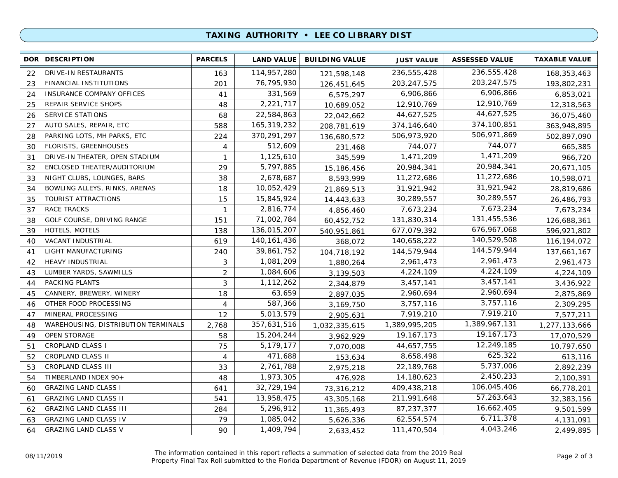## **TAXING AUTHORITY • LEE CO LIBRARY DIST**

| <b>DOR</b> | <b>DESCRIPTION</b>                  | <b>PARCELS</b> | <b>LAND VALUE</b> | <b>BUILDING VALUE</b> | <b>JUST VALUE</b> | <b>ASSESSED VALUE</b> | <b>TAXABLE VALUE</b> |
|------------|-------------------------------------|----------------|-------------------|-----------------------|-------------------|-----------------------|----------------------|
| 22         | DRIVE-IN RESTAURANTS                | 163            | 114,957,280       | 121,598,148           | 236,555,428       | 236,555,428           | 168,353,463          |
| 23         | FINANCIAL INSTITUTIONS              | 201            | 76,795,930        | 126,451,645           | 203, 247, 575     | 203, 247, 575         | 193,802,231          |
| 24         | INSURANCE COMPANY OFFICES           | 41             | 331,569           | 6,575,297             | 6,906,866         | 6,906,866             | 6,853,021            |
| 25         | REPAIR SERVICE SHOPS                | 48             | 2,221,717         | 10,689,052            | 12,910,769        | 12,910,769            | 12,318,563           |
| 26         | <b>SERVICE STATIONS</b>             | 68             | 22,584,863        | 22,042,662            | 44,627,525        | 44,627,525            | 36,075,460           |
| 27         | AUTO SALES, REPAIR, ETC             | 588            | 165,319,232       | 208,781,619           | 374,146,640       | 374,100,851           | 363,948,895          |
| 28         | PARKING LOTS, MH PARKS, ETC         | 224            | 370,291,297       | 136,680,572           | 506,973,920       | 506,971,869           | 502,897,090          |
| 30         | <b>FLORISTS, GREENHOUSES</b>        | 4              | 512,609           | 231,468               | 744,077           | 744,077               | 665,385              |
| 31         | DRIVE-IN THEATER, OPEN STADIUM      | $\mathbf{1}$   | 1,125,610         | 345,599               | 1,471,209         | 1,471,209             | 966,720              |
| 32         | ENCLOSED THEATER/AUDITORIUM         | 29             | 5,797,885         | 15,186,456            | 20,984,341        | 20,984,341            | 20,671,105           |
| 33         | NIGHT CLUBS, LOUNGES, BARS          | 38             | 2,678,687         | 8,593,999             | 11,272,686        | 11,272,686            | 10,598,071           |
| 34         | BOWLING ALLEYS, RINKS, ARENAS       | 18             | 10,052,429        | 21,869,513            | 31,921,942        | 31,921,942            | 28,819,686           |
| 35         | TOURIST ATTRACTIONS                 | 15             | 15,845,924        | 14,443,633            | 30,289,557        | 30,289,557            | 26,486,793           |
| 37         | <b>RACE TRACKS</b>                  | $\mathbf{1}$   | 2,816,774         | 4,856,460             | 7,673,234         | 7,673,234             | 7,673,234            |
| 38         | GOLF COURSE, DRIVING RANGE          | 151            | 71,002,784        | 60,452,752            | 131,830,314       | 131,455,536           | 126,688,361          |
| 39         | HOTELS, MOTELS                      | 138            | 136,015,207       | 540,951,861           | 677,079,392       | 676, 967, 068         | 596,921,802          |
| 40         | VACANT INDUSTRIAL                   | 619            | 140, 161, 436     | 368,072               | 140,658,222       | 140,529,508           | 116, 194, 072        |
| 41         | LIGHT MANUFACTURING                 | 240            | 39,861,752        | 104,718,192           | 144,579,944       | 144,579,944           | 137,661,167          |
| 42         | HEAVY INDUSTRIAL                    | 3              | 1,081,209         | 1,880,264             | 2,961,473         | 2,961,473             | 2,961,473            |
| 43         | LUMBER YARDS, SAWMILLS              | $\overline{2}$ | 1,084,606         | 3,139,503             | 4,224,109         | 4,224,109             | 4,224,109            |
| 44         | PACKING PLANTS                      | 3              | 1,112,262         | 2,344,879             | 3,457,141         | 3,457,141             | 3,436,922            |
| 45         | CANNERY, BREWERY, WINERY            | 18             | 63,659            | 2,897,035             | 2,960,694         | 2,960,694             | 2,875,869            |
| 46         | OTHER FOOD PROCESSING               | 4              | 587,366           | 3,169,750             | 3,757,116         | 3,757,116             | 2,309,295            |
| 47         | MINERAL PROCESSING                  | 12             | 5,013,579         | 2,905,631             | 7,919,210         | 7,919,210             | 7,577,211            |
| 48         | WAREHOUSING, DISTRIBUTION TERMINALS | 2,768          | 357,631,516       | 1,032,335,615         | 1,389,995,205     | 1,389,967,131         | 1,277,133,666        |
| 49         | <b>OPEN STORAGE</b>                 | 58             | 15,204,244        | 3,962,929             | 19, 167, 173      | 19, 167, 173          | 17,070,529           |
| 51         | <b>CROPLAND CLASS I</b>             | 75             | 5,179,177         | 7,070,008             | 44,657,755        | 12,249,185            | 10,797,650           |
| 52         | CROPLAND CLASS II                   | $\overline{4}$ | 471,688           | 153,634               | 8,658,498         | 625,322               | 613,116              |
| 53         | <b>CROPLAND CLASS III</b>           | 33             | 2,761,788         | 2,975,218             | 22,189,768        | 5,737,006             | 2,892,239            |
| 54         | TIMBERLAND INDEX 90+                | 48             | 1,973,305         | 476,928               | 14,180,623        | 2,450,233             | 2,100,391            |
| 60         | <b>GRAZING LAND CLASS I</b>         | 641            | 32,729,194        | 73,316,212            | 409,438,218       | 106,045,406           | 66,778,201           |
| 61         | <b>GRAZING LAND CLASS II</b>        | 541            | 13,958,475        | 43,305,168            | 211,991,648       | 57,263,643            | 32,383,156           |
| 62         | <b>GRAZING LAND CLASS III</b>       | 284            | 5,296,912         | 11,365,493            | 87,237,377        | 16,662,405            | 9,501,599            |
| 63         | <b>GRAZING LAND CLASS IV</b>        | 79             | 1,085,042         | 5,626,336             | 62,554,574        | 6,711,378             | 4,131,091            |
| 64         | <b>GRAZING LAND CLASS V</b>         | 90             | 1,409,794         | 2,633,452             | 111,470,504       | 4,043,246             | 2,499,895            |